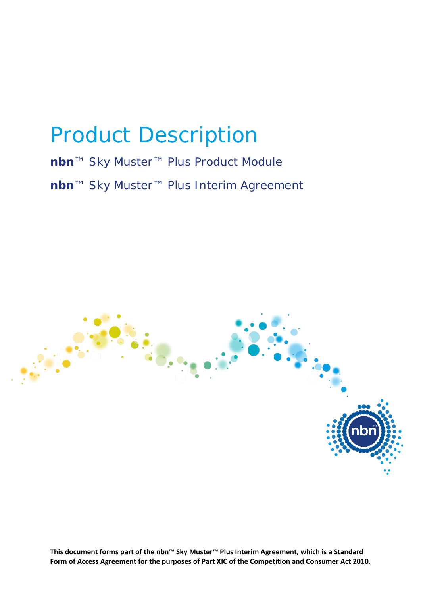# Product Description

## **nbn**™ Sky Muster™ Plus Product Module **nbn**™ Sky Muster™ Plus Interim Agreement



**This document forms part of the nbn™ Sky Muster™ Plus Interim Agreement, which is a Standard Form of Access Agreement for the purposes of Part XIC of the Competition and Consumer Act 2010.**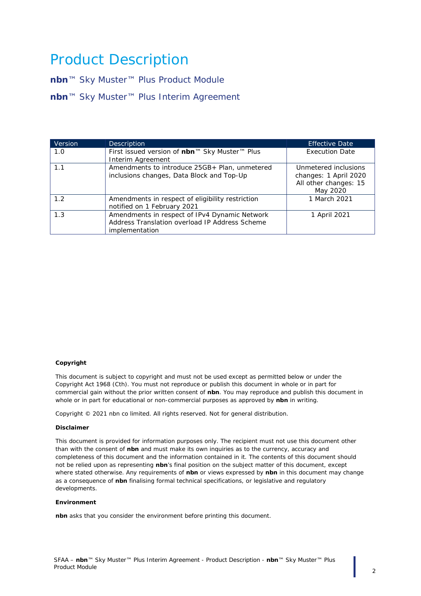## Product Description

**nbn**™ Sky Muster™ Plus Product Module **nbn**™ Sky Muster™ Plus Interim Agreement

| <b>Version</b> | <b>Description</b>                                                                                                | <b>Effective Date</b>                                                              |
|----------------|-------------------------------------------------------------------------------------------------------------------|------------------------------------------------------------------------------------|
| 1.0            | First issued version of nbn™ Sky Muster™ Plus<br>Interim Agreement                                                | <b>Execution Date</b>                                                              |
| 1.1            | Amendments to introduce 25GB+ Plan, unmetered<br>inclusions changes, Data Block and Top-Up                        | Unmetered inclusions<br>changes: 1 April 2020<br>All other changes: 15<br>May 2020 |
| 1.2            | Amendments in respect of eligibility restriction<br>notified on 1 February 2021                                   | 1 March 2021                                                                       |
| 1.3            | Amendments in respect of IPv4 Dynamic Network<br>Address Translation overload IP Address Scheme<br>implementation | 1 April 2021                                                                       |

#### **Copyright**

This document is subject to copyright and must not be used except as permitted below or under the Copyright Act 1968 (Cth). You must not reproduce or publish this document in whole or in part for commercial gain without the prior written consent of **nbn**. You may reproduce and publish this document in whole or in part for educational or non-commercial purposes as approved by **nbn** in writing.

Copyright © 2021 nbn co limited. All rights reserved. Not for general distribution.

#### **Disclaimer**

This document is provided for information purposes only. The recipient must not use this document other than with the consent of **nbn** and must make its own inquiries as to the currency, accuracy and completeness of this document and the information contained in it. The contents of this document should not be relied upon as representing **nbn**'s final position on the subject matter of this document, except where stated otherwise. Any requirements of **nbn** or views expressed by **nbn** in this document may change as a consequence of **nbn** finalising formal technical specifications, or legislative and regulatory developments.

#### **Environment**

**nbn** asks that you consider the environment before printing this document.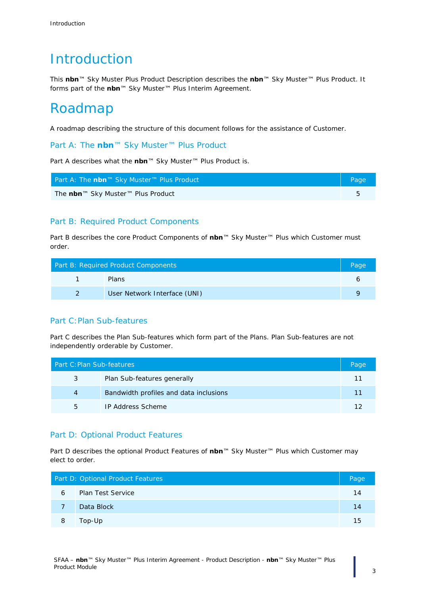## **Introduction**

This **nbn**™ Sky Muster Plus Product Description describes the **nbn**™ Sky Muster™ Plus Product. It forms part of the **nbn**™ Sky Muster™ Plus Interim Agreement.

## Roadmap

A roadmap describing the structure of this document follows for the assistance of Customer.

[Part A:](#page-4-0) The **nbn**™ [Sky Muster™ Plus Product](#page-4-0)

Part A describes what the **nbn**™ Sky Muster™ Plus Product is.

| Part A: The nbn™ Sky Muster™ Plus Product | Page |
|-------------------------------------------|------|
| The nbn™ Sky Muster™ Plus Product         |      |

#### [Part B:](#page-5-0) [Required Product Components](#page-5-0)

Part B describes the core Product Components of **nbn**™ Sky Muster™ Plus which Customer must order.

| Part B: Required Product Components |                              | Page |
|-------------------------------------|------------------------------|------|
|                                     | <b>Plans</b>                 |      |
|                                     | User Network Interface (UNI) |      |

#### [Part C:Plan Sub-features](#page-10-0)

Part C describes the Plan Sub-features which form part of the Plans. Plan Sub-features are not independently orderable by Customer.

| Part C: Plan Sub-features, |                                        | Page |
|----------------------------|----------------------------------------|------|
| 3                          | Plan Sub-features generally            |      |
| 4                          | Bandwidth profiles and data inclusions |      |
| 5                          | <b>IP Address Scheme</b>               |      |

#### [Part D:](#page-13-0) [Optional Product Features](#page-13-0)

Part D describes the optional Product Features of **nbn**™ Sky Muster™ Plus which Customer may elect to order.

| Part D: Optional Product Features |                          | Page |
|-----------------------------------|--------------------------|------|
| 6                                 | <b>Plan Test Service</b> | 14   |
|                                   | Data Block               | 14   |
| 8                                 | Top-Up                   | 15   |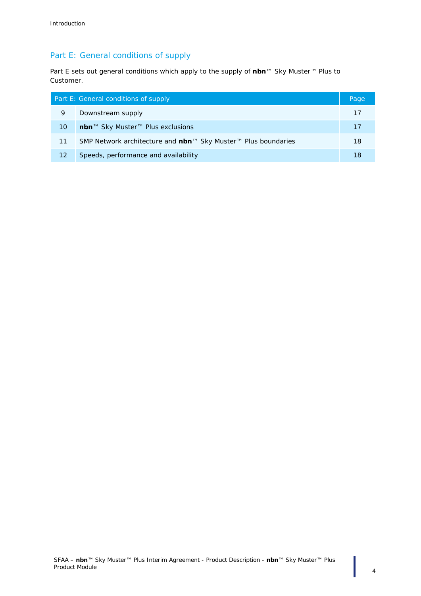### [Part E:](#page-16-0) [General conditions of supply](#page-16-0)

Part E sets out general conditions which apply to the supply of **nbn**™ Sky Muster™ Plus to Customer.

| Part E: General conditions of supply |                                                               | Page |
|--------------------------------------|---------------------------------------------------------------|------|
| 9                                    | Downstream supply                                             | 17   |
| 10                                   | nbn™ Sky Muster™ Plus exclusions                              | 17   |
| 11                                   | SMP Network architecture and nbn™ Sky Muster™ Plus boundaries | 18   |
| 12                                   | Speeds, performance and availability                          | 18   |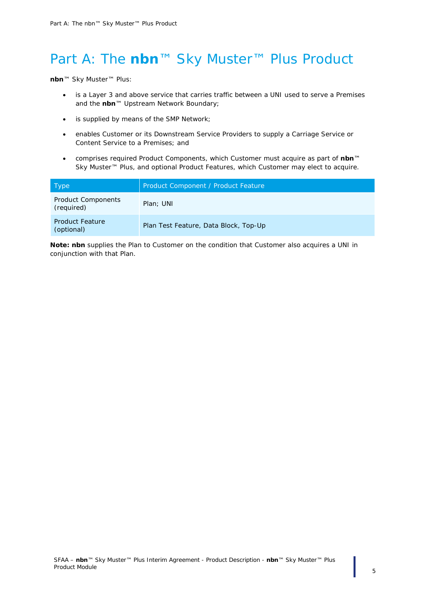## <span id="page-4-0"></span>Part A: The **nbn**™ Sky Muster™ Plus Product

**nbn**™ Sky Muster™ Plus:

- is a Layer 3 and above service that carries traffic between a UNI used to serve a Premises and the **nbn**™ Upstream Network Boundary;
- is supplied by means of the SMP Network;
- enables Customer or its Downstream Service Providers to supply a Carriage Service or Content Service to a Premises; and
- comprises required Product Components, which Customer must acquire as part of **nbn**™ Sky Muster™ Plus, and optional Product Features, which Customer may elect to acquire.

| Type                                    | Product Component / Product Feature   |  |
|-----------------------------------------|---------------------------------------|--|
| <b>Product Components</b><br>(required) | Plan; UNI                             |  |
| <b>Product Feature</b><br>(optional)    | Plan Test Feature, Data Block, Top-Up |  |

*Note: nbn supplies the Plan to Customer on the condition that Customer also acquires a UNI in conjunction with that Plan.*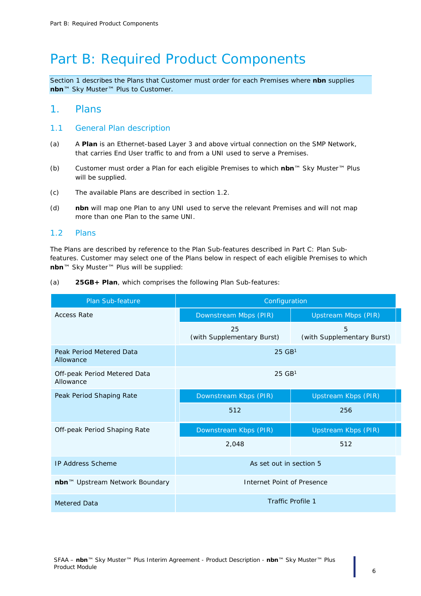## <span id="page-5-0"></span>Part B: Required Product Components

*Section [1](#page-5-1) describes the Plans that Customer must order for each Premises where nbn supplies nbn™ Sky Muster™ Plus to Customer.* 

#### <span id="page-5-1"></span>1. Plans

#### 1.1 General Plan description

- (a) A **Plan** is an Ethernet-based Layer 3 and above virtual connection on the SMP Network, that carries End User traffic to and from a UNI used to serve a Premises.
- (b) Customer must order a Plan for each eligible Premises to which **nbn**™ Sky Muster™ Plus will be supplied.
- (c) The available Plans are described in section [1.2.](#page-5-2)
- (d) **nbn** will map one Plan to any UNI used to serve the relevant Premises and will not map more than one Plan to the same UNI.

#### <span id="page-5-2"></span>1.2 Plans

The Plans are described by reference to the Plan Sub-features described in [Part C:](#page-10-0) [Plan Sub](#page-10-0)[features.](#page-10-0) Customer may select one of the Plans below in respect of each eligible Premises to which **nbn**™ Sky Muster™ Plus will be supplied:

(a) **25GB+ Plan**, which comprises the following Plan Sub-features:

| <b>Plan Sub-feature</b>                   | Configuration                    |                                 |  |  |
|-------------------------------------------|----------------------------------|---------------------------------|--|--|
| <b>Access Rate</b>                        | Downstream Mbps (PIR)            | <b>Upstream Mbps (PIR)</b>      |  |  |
|                                           | 25<br>(with Supplementary Burst) | 5<br>(with Supplementary Burst) |  |  |
| Peak Period Metered Data<br>Allowance     | $25$ GB <sup>1</sup>             |                                 |  |  |
| Off-peak Period Metered Data<br>Allowance | $25$ GB <sup>1</sup>             |                                 |  |  |
| Peak Period Shaping Rate                  | Downstream Kbps (PIR)            | <b>Upstream Kbps (PIR)</b>      |  |  |
|                                           | 512                              | 256                             |  |  |
| Off-peak Period Shaping Rate              | Downstream Kbps (PIR)            | <b>Upstream Kbps (PIR)</b>      |  |  |
|                                           | 2,048                            | 512                             |  |  |
| <b>IP Address Scheme</b>                  | As set out in section 5          |                                 |  |  |
| nbn™ Upstream Network Boundary            | Internet Point of Presence       |                                 |  |  |
| <b>Metered Data</b>                       | <b>Traffic Profile 1</b>         |                                 |  |  |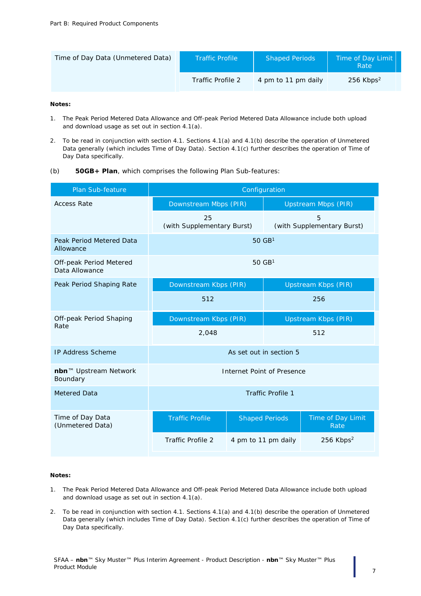| Time of Day Data (Unmetered Data) | <b>Traffic Profile</b> | <b>Shaped Periods</b> | Time of Day Limit<br>Rate |
|-----------------------------------|------------------------|-----------------------|---------------------------|
|                                   | Traffic Profile 2      | 4 pm to 11 pm daily   | $256$ Kbps <sup>2</sup>   |

#### *Notes:*

- *1. The Peak Period Metered Data Allowance and Off-peak Period Metered Data Allowance include both upload and download usage as set out in section [4.1\(a\).](#page-10-3)*
- *2. To be read in conjunction with section [4.1.](#page-10-4) Sections [4.1\(a\)](#page-10-3) and [4.1\(b\)](#page-10-5) describe the operation of Unmetered Data generally (which includes Time of Day Data). Section [4.1\(c\)](#page-11-1) further describes the operation of Time of Day Data specifically.*
- (b) **50GB+ Plan**, which comprises the following Plan Sub-features:

| <b>Plan Sub-feature</b>                   | Configuration                                       |                       |                            |                                 |
|-------------------------------------------|-----------------------------------------------------|-----------------------|----------------------------|---------------------------------|
| <b>Access Rate</b>                        | Downstream Mbps (PIR)                               |                       | <b>Upstream Mbps (PIR)</b> |                                 |
|                                           | 25<br>(with Supplementary Burst)                    |                       |                            | 5<br>(with Supplementary Burst) |
| Peak Period Metered Data<br>Allowance     |                                                     | $50 \text{ GB}^1$     |                            |                                 |
| Off-peak Period Metered<br>Data Allowance |                                                     | $50$ GB <sup>1</sup>  |                            |                                 |
| Peak Period Shaping Rate                  |                                                     | Downstream Kbps (PIR) |                            | <b>Upstream Kbps (PIR)</b>      |
|                                           | 512<br>256                                          |                       |                            |                                 |
| Off-peak Period Shaping                   | Downstream Kbps (PIR)<br><b>Upstream Kbps (PIR)</b> |                       |                            |                                 |
| Rate                                      | 2,048                                               |                       | 512                        |                                 |
| <b>IP Address Scheme</b>                  | As set out in section 5                             |                       |                            |                                 |
| nbn™ Upstream Network<br>Boundary         | Internet Point of Presence                          |                       |                            |                                 |
| <b>Metered Data</b>                       | <b>Traffic Profile 1</b>                            |                       |                            |                                 |
| Time of Day Data<br>(Unmetered Data)      | <b>Traffic Profile</b>                              | <b>Shaped Periods</b> |                            | Time of Day Limit<br>Rate       |
|                                           | <b>Traffic Profile 2</b>                            | 4 pm to 11 pm daily   |                            | $256$ Kbps <sup>2</sup>         |

#### *Notes:*

- *1. The Peak Period Metered Data Allowance and Off-peak Period Metered Data Allowance include both upload and download usage as set out in section [4.1\(a\).](#page-10-3)*
- *2. To be read in conjunction with section [4.1.](#page-10-4) Sections [4.1\(a\)](#page-10-3) and [4.1\(b\)](#page-10-5) describe the operation of Unmetered Data generally (which includes Time of Day Data). Section [4.1\(c\)](#page-11-1) further describes the operation of Time of Day Data specifically.*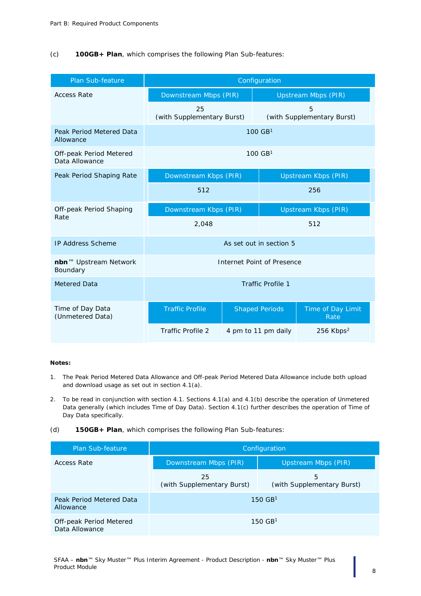#### (c) **100GB+ Plan**, which comprises the following Plan Sub-features:

| <b>Plan Sub-feature</b>                   | Configuration                    |                            |                                 |  |
|-------------------------------------------|----------------------------------|----------------------------|---------------------------------|--|
| <b>Access Rate</b>                        | Downstream Mbps (PIR)            |                            | <b>Upstream Mbps (PIR)</b>      |  |
|                                           | 25<br>(with Supplementary Burst) |                            | 5<br>(with Supplementary Burst) |  |
| Peak Period Metered Data<br>Allowance     |                                  | $100 \text{ GB}^1$         |                                 |  |
| Off-peak Period Metered<br>Data Allowance |                                  | $100 \text{ GB}^1$         |                                 |  |
| Peak Period Shaping Rate                  | Downstream Kbps (PIR)            |                            | <b>Upstream Kbps (PIR)</b>      |  |
|                                           | 512                              |                            | 256                             |  |
| Off-peak Period Shaping<br>Rate           | Downstream Kbps (PIR)            | <b>Upstream Kbps (PIR)</b> |                                 |  |
|                                           | 2,048                            |                            | 512                             |  |
| <b>IP Address Scheme</b>                  |                                  | As set out in section 5    |                                 |  |
| nbn™ Upstream Network<br>Boundary         | Internet Point of Presence       |                            |                                 |  |
| Metered Data                              | <b>Traffic Profile 1</b>         |                            |                                 |  |
| Time of Day Data<br>(Unmetered Data)      | <b>Traffic Profile</b>           | <b>Shaped Periods</b>      | Time of Day Limit<br>Rate       |  |
|                                           | Traffic Profile 2                | 4 pm to 11 pm daily        | 256 Kbps <sup>2</sup>           |  |

#### *Notes:*

- *1. The Peak Period Metered Data Allowance and Off-peak Period Metered Data Allowance include both upload and download usage as set out in section [4.1\(a\).](#page-10-3)*
- *2. To be read in conjunction with section [4.1.](#page-10-4) Sections [4.1\(a\)](#page-10-3) and [4.1\(b\)](#page-10-5) describe the operation of Unmetered Data generally (which includes Time of Day Data). Section [4.1\(c\)](#page-11-1) further describes the operation of Time of Day Data specifically.*
- (d) **150GB+ Plan**, which comprises the following Plan Sub-features:

| Plan Sub-feature                          | Configuration                    |                                 |  |
|-------------------------------------------|----------------------------------|---------------------------------|--|
| <b>Access Rate</b>                        | Downstream Mbps (PIR)            | Upstream Mbps (PIR)             |  |
|                                           | 25<br>(with Supplementary Burst) | 5<br>(with Supplementary Burst) |  |
| Peak Period Metered Data<br>Allowance     | $150 \text{ GB}^1$               |                                 |  |
| Off-peak Period Metered<br>Data Allowance | $150 \text{ GB}^1$               |                                 |  |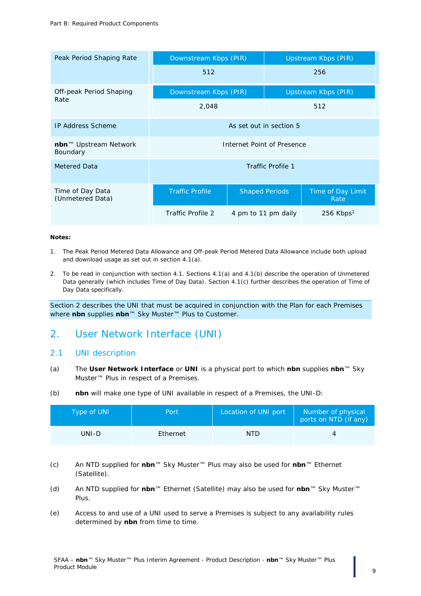| Peak Period Shaping Rate                      | Downstream Kbps (PIR)      |                       | Upstream Kbps (PIR) |                            |
|-----------------------------------------------|----------------------------|-----------------------|---------------------|----------------------------|
|                                               | 512                        |                       |                     | 256                        |
| Off-peak Period Shaping                       | Downstream Kbps (PIR)      |                       |                     | <b>Upstream Kbps (PIR)</b> |
| Rate                                          | 2,048                      |                       |                     | 512                        |
| <b>IP Address Scheme</b>                      | As set out in section 5    |                       |                     |                            |
| nbn <sup>™</sup> Upstream Network<br>Boundary | Internet Point of Presence |                       |                     |                            |
| <b>Metered Data</b>                           | Traffic Profile 1          |                       |                     |                            |
| Time of Day Data<br>(Unmetered Data)          | <b>Traffic Profile</b>     | <b>Shaped Periods</b> |                     | Time of Day Limit<br>Rate  |
|                                               | Traffic Profile 2          | 4 pm to 11 pm daily   |                     | $256$ Kbps <sup>2</sup>    |

#### *Notes:*

- *1. The Peak Period Metered Data Allowance and Off-peak Period Metered Data Allowance include both upload and download usage as set out in section [4.1\(a\).](#page-10-3)*
- *2. To be read in conjunction with section [4.1.](#page-10-4) Sections [4.1\(a\)](#page-10-3) and [4.1\(b\)](#page-10-5) describe the operation of Unmetered Data generally (which includes Time of Day Data). Section [4.1\(c\)](#page-11-1) further describes the operation of Time of Day Data specifically.*

*Section [2](#page-8-0) describes the UNI that must be acquired in conjunction with the Plan for each Premises where nbn supplies nbn™ Sky Muster™ Plus to Customer.*

### <span id="page-8-0"></span>2. User Network Interface (UNI)

#### 2.1 UNI description

- (a) The **User Network Interface** or **UNI** is a physical port to which **nbn** supplies **nbn**™ Sky Muster™ Plus in respect of a Premises.
- (b) **nbn** will make one type of UNI available in respect of a Premises, the UNI-D:

| Type of UNI | <b>Port</b> | Location of UNI port | Number of physical<br>ports on NTD (if any) |
|-------------|-------------|----------------------|---------------------------------------------|
| UNI-D       | Ethernet    | NTD.                 |                                             |

- (c) An NTD supplied for **nbn**™ Sky Muster™ Plus may also be used for **nbn**™ Ethernet (Satellite).
- (d) An NTD supplied for **nbn**™ Ethernet (Satellite) may also be used for **nbn**™ Sky Muster™ Plus.
- (e) Access to and use of a UNI used to serve a Premises is subject to any availability rules determined by **nbn** from time to time.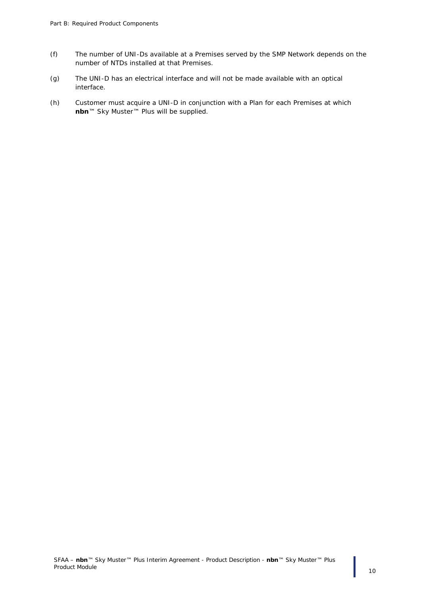- (f) The number of UNI-Ds available at a Premises served by the SMP Network depends on the number of NTDs installed at that Premises.
- (g) The UNI-D has an electrical interface and will not be made available with an optical interface.
- (h) Customer must acquire a UNI-D in conjunction with a Plan for each Premises at which **nbn**™ Sky Muster™ Plus will be supplied.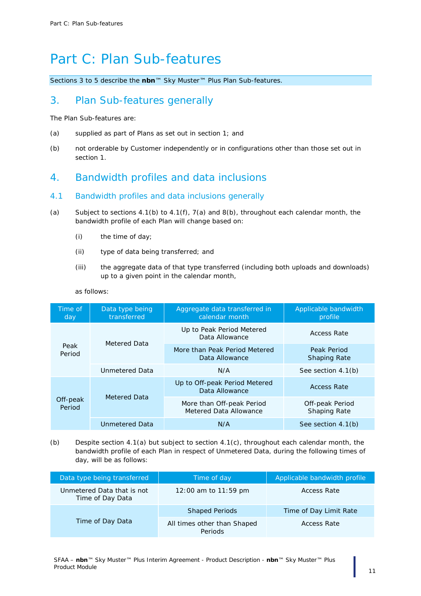## <span id="page-10-0"></span>Part C: Plan Sub-features

*Sections [3](#page-10-1) to [5](#page-11-0) describe the nbn™ Sky Muster™ Plus Plan Sub-features.*

### <span id="page-10-1"></span>3. Plan Sub-features generally

The Plan Sub-features are:

- (a) supplied as part of Plans as set out in section [1;](#page-5-1) and
- (b) not orderable by Customer independently or in configurations other than those set out in section [1.](#page-5-1)

## <span id="page-10-2"></span>4. Bandwidth profiles and data inclusions

#### <span id="page-10-4"></span>4.1 Bandwidth profiles and data inclusions generally

- <span id="page-10-3"></span>(a) Subject to sections  $4.1(b)$  to  $4.1(f)$ ,  $7(a)$  and  $8(b)$ , throughout each calendar month, the bandwidth profile of each Plan will change based on:
	- (i) the time of day;
	- (ii) type of data being transferred; and
	- (iii) the aggregate data of that type transferred (including both uploads and downloads) up to a given point in the calendar month,

| as follows: |
|-------------|
|             |
|             |

| Time of<br>day     | Data type being<br>transferred | Aggregate data transferred in<br>calendar month     | Applicable bandwidth<br>profile        |
|--------------------|--------------------------------|-----------------------------------------------------|----------------------------------------|
| Peak<br>Period     |                                | Up to Peak Period Metered<br>Data Allowance         | <b>Access Rate</b>                     |
|                    | Metered Data                   | More than Peak Period Metered<br>Data Allowance     | Peak Period<br><b>Shaping Rate</b>     |
|                    | <b>Unmetered Data</b>          | N/A                                                 | See section 4.1(b)                     |
| Off-peak<br>Period | <b>Metered Data</b>            | Up to Off-peak Period Metered<br>Data Allowance     | <b>Access Rate</b>                     |
|                    |                                | More than Off-peak Period<br>Metered Data Allowance | Off-peak Period<br><b>Shaping Rate</b> |
|                    | Unmetered Data                 | N/A                                                 | See section 4.1(b)                     |

<span id="page-10-5"></span>(b) Despite section [4.1\(a\)](#page-10-3) but subject to section [4.1\(c\),](#page-11-1) throughout each calendar month, the bandwidth profile of each Plan in respect of Unmetered Data, during the following times of day, will be as follows:

| Data type being transferred                    | Time of day                            | Applicable bandwidth profile |
|------------------------------------------------|----------------------------------------|------------------------------|
| Unmetered Data that is not<br>Time of Day Data | 12:00 am to $11:59$ pm                 | Access Rate                  |
| Time of Day Data                               | <b>Shaped Periods</b>                  | Time of Day Limit Rate       |
|                                                | All times other than Shaped<br>Periods | Access Rate                  |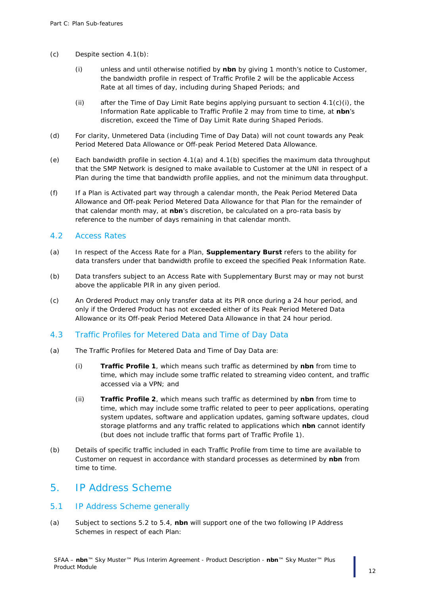- <span id="page-11-3"></span><span id="page-11-1"></span>(c) Despite section [4.1\(b\):](#page-10-5)
	- (i) unless and until otherwise notified by **nbn** by giving 1 month's notice to Customer, the bandwidth profile in respect of Traffic Profile 2 will be the applicable Access Rate at all times of day, including during Shaped Periods; and
	- (ii) after the Time of Day Limit Rate begins applying pursuant to section  $4.1(c)(i)$ , the Information Rate applicable to Traffic Profile 2 may from time to time, at **nbn**'s discretion, exceed the Time of Day Limit Rate during Shaped Periods.
- (d) For clarity, Unmetered Data (including Time of Day Data) will not count towards any Peak Period Metered Data Allowance or Off-peak Period Metered Data Allowance.
- (e) Each bandwidth profile in section [4.1\(a\)](#page-10-3) and [4.1\(b\)](#page-10-5) specifies the maximum data throughput that the SMP Network is designed to make available to Customer at the UNI in respect of a Plan during the time that bandwidth profile applies, and not the minimum data throughput.
- <span id="page-11-2"></span>(f) If a Plan is Activated part way through a calendar month, the Peak Period Metered Data Allowance and Off-peak Period Metered Data Allowance for that Plan for the remainder of that calendar month may, at **nbn**'s discretion, be calculated on a pro-rata basis by reference to the number of days remaining in that calendar month.

#### 4.2 Access Rates

- (a) In respect of the Access Rate for a Plan, **Supplementary Burst** refers to the ability for data transfers under that bandwidth profile to exceed the specified Peak Information Rate.
- (b) Data transfers subject to an Access Rate with Supplementary Burst may or may not burst above the applicable PIR in any given period.
- (c) An Ordered Product may only transfer data at its PIR once during a 24 hour period, and only if the Ordered Product has not exceeded either of its Peak Period Metered Data Allowance or its Off-peak Period Metered Data Allowance in that 24 hour period.

#### 4.3 Traffic Profiles for Metered Data and Time of Day Data

- (a) The Traffic Profiles for Metered Data and Time of Day Data are:
	- (i) **Traffic Profile 1**, which means such traffic as determined by **nbn** from time to time, which may include some traffic related to streaming video content, and traffic accessed via a VPN; and
	- (ii) **Traffic Profile 2**, which means such traffic as determined by **nbn** from time to time, which may include some traffic related to peer to peer applications, operating system updates, software and application updates, gaming software updates, cloud storage platforms and any traffic related to applications which **nbn** cannot identify (but does not include traffic that forms part of Traffic Profile 1).
- (b) Details of specific traffic included in each Traffic Profile from time to time are available to Customer on request in accordance with standard processes as determined by **nbn** from time to time.

### <span id="page-11-0"></span>5. IP Address Scheme

#### 5.1 IP Address Scheme generally

(a) Subject to sections 5.2 to 5.4, **nbn** will support one of the two following IP Address Schemes in respect of each Plan: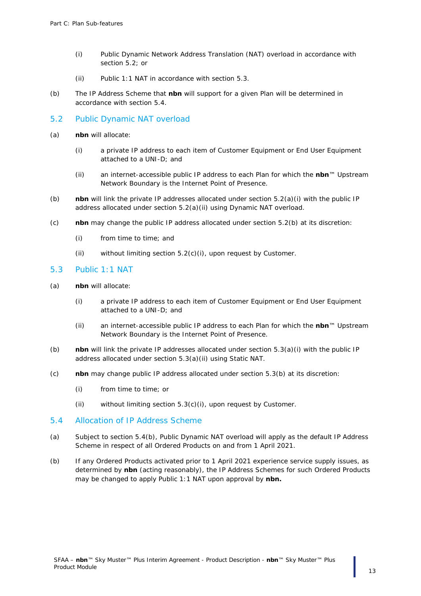- (i) Public Dynamic Network Address Translation (NAT) overload in accordance with section 5.2; or
- (ii) Public 1:1 NAT in accordance with section 5.3.
- (b) The IP Address Scheme that **nbn** will support for a given Plan will be determined in accordance with section 5.4.

#### 5.2 Public Dynamic NAT overload

- (a) **nbn** will allocate:
	- (i) a private IP address to each item of Customer Equipment or End User Equipment attached to a UNI-D; and
	- (ii) an internet-accessible public IP address to each Plan for which the **nbn**™ Upstream Network Boundary is the Internet Point of Presence.
- (b) **nbn** will link the private IP addresses allocated under section 5.2(a)(i) with the public IP address allocated under section 5.2(a)(ii) using Dynamic NAT overload.
- (c) **nbn** may change the public IP address allocated under section 5.2(b) at its discretion:
	- (i) from time to time; and
	- (ii) without limiting section 5.2(c)(i), upon request by Customer.

#### 5.3 Public 1:1 NAT

- <span id="page-12-0"></span>(a) **nbn** will allocate:
	- (i) a private IP address to each item of Customer Equipment or End User Equipment attached to a UNI-D; and
	- (ii) an internet-accessible public IP address to each Plan for which the **nbn**™ Upstream Network Boundary is the Internet Point of Presence.
- <span id="page-12-2"></span><span id="page-12-1"></span>(b) **nbn** will link the private IP addresses allocated under section [5.3\(a\)\(i\)](#page-12-0) with the public IP address allocated under section [5.3\(a\)\(ii\)](#page-12-1) using Static NAT.
- <span id="page-12-3"></span>(c) **nbn** may change public IP address allocated under section [5.3\(b\)](#page-12-2) at its discretion:
	- (i) from time to time; or
	- (ii) without limiting section [5.3\(c\)\(i\),](#page-12-3) upon request by Customer.

#### 5.4 Allocation of IP Address Scheme

- (a) Subject to section 5.4(b), Public Dynamic NAT overload will apply as the default IP Address Scheme in respect of all Ordered Products on and from 1 April 2021.
- (b) If any Ordered Products activated prior to 1 April 2021 experience service supply issues, as determined by **nbn** (acting reasonably), the IP Address Schemes for such Ordered Products may be changed to apply Public 1:1 NAT upon approval by **nbn.**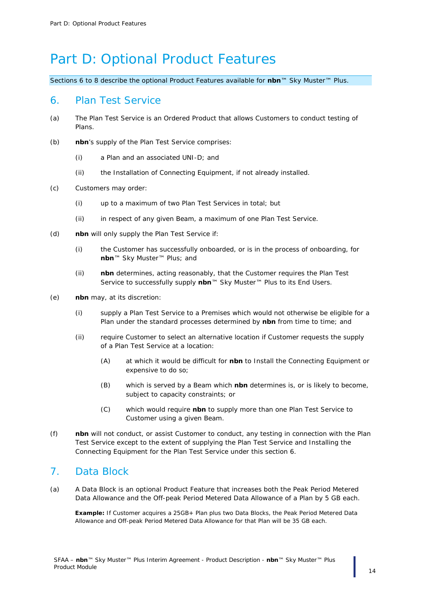## <span id="page-13-0"></span>Part D: Optional Product Features

*Sections [6](#page-13-1) to [8](#page-14-0) describe the optional Product Features available for nbn™ Sky Muster™ Plus.*

### <span id="page-13-1"></span>6. Plan Test Service

- (a) The Plan Test Service is an Ordered Product that allows Customers to conduct testing of Plans.
- (b) **nbn**'s supply of the Plan Test Service comprises:
	- (i) a Plan and an associated UNI-D; and
	- (ii) the Installation of Connecting Equipment, if not already installed.
- (c) Customers may order:
	- (i) up to a maximum of two Plan Test Services in total; but
	- (ii) in respect of any given Beam, a maximum of one Plan Test Service.
- (d) **nbn** will only supply the Plan Test Service if:
	- (i) the Customer has successfully onboarded, or is in the process of onboarding, for **nbn**™ Sky Muster™ Plus; and
	- (ii) **nbn** determines, acting reasonably, that the Customer requires the Plan Test Service to successfully supply **nbn**™ Sky Muster™ Plus to its End Users.
- (e) **nbn** may, at its discretion:
	- (i) supply a Plan Test Service to a Premises which would not otherwise be eligible for a Plan under the standard processes determined by **nbn** from time to time; and
	- (ii) require Customer to select an alternative location if Customer requests the supply of a Plan Test Service at a location:
		- (A) at which it would be difficult for **nbn** to Install the Connecting Equipment or expensive to do so;
		- (B) which is served by a Beam which **nbn** determines is, or is likely to become, subject to capacity constraints; or
		- (C) which would require **nbn** to supply more than one Plan Test Service to Customer using a given Beam.
- (f) **nbn** will not conduct, or assist Customer to conduct, any testing in connection with the Plan Test Service except to the extent of supplying the Plan Test Service and Installing the Connecting Equipment for the Plan Test Service under this section [6.](#page-13-1)

### <span id="page-13-2"></span>7. Data Block

<span id="page-13-3"></span>(a) A Data Block is an optional Product Feature that increases both the Peak Period Metered Data Allowance and the Off-peak Period Metered Data Allowance of a Plan by 5 GB each.

*Example: If Customer acquires a 25GB+ Plan plus two Data Blocks, the Peak Period Metered Data Allowance and Off-peak Period Metered Data Allowance for that Plan will be 35 GB each.*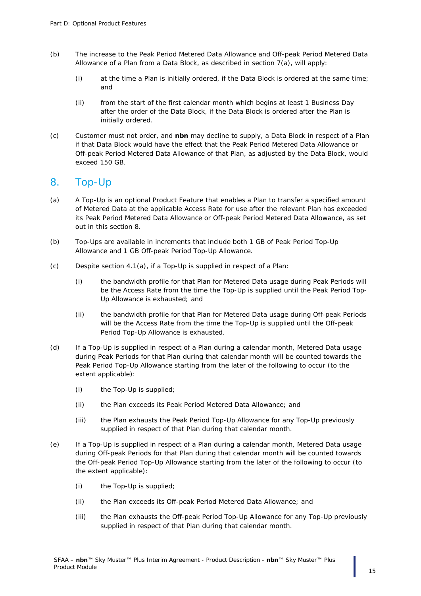- (b) The increase to the Peak Period Metered Data Allowance and Off-peak Period Metered Data Allowance of a Plan from a Data Block, as described in section  $7(a)$ , will apply:
	- (i) at the time a Plan is initially ordered, if the Data Block is ordered at the same time; and
	- (ii) from the start of the first calendar month which begins at least 1 Business Day after the order of the Data Block, if the Data Block is ordered after the Plan is initially ordered.
- (c) Customer must not order, and **nbn** may decline to supply, a Data Block in respect of a Plan if that Data Block would have the effect that the Peak Period Metered Data Allowance or Off-peak Period Metered Data Allowance of that Plan, as adjusted by the Data Block, would exceed 150 GB.

### <span id="page-14-0"></span>8. Top-Up

- (a) A Top-Up is an optional Product Feature that enables a Plan to transfer a specified amount of Metered Data at the applicable Access Rate for use after the relevant Plan has exceeded its Peak Period Metered Data Allowance or Off-peak Period Metered Data Allowance, as set out in this section [8.](#page-14-0)
- <span id="page-14-1"></span>(b) Top-Ups are available in increments that include both 1 GB of Peak Period Top-Up Allowance and 1 GB Off-peak Period Top-Up Allowance.
- (c) Despite section [4.1\(a\),](#page-10-3) if a Top-Up is supplied in respect of a Plan:
	- (i) the bandwidth profile for that Plan for Metered Data usage during Peak Periods will be the Access Rate from the time the Top-Up is supplied until the Peak Period Top-Up Allowance is exhausted; and
	- (ii) the bandwidth profile for that Plan for Metered Data usage during Off-peak Periods will be the Access Rate from the time the Top-Up is supplied until the Off-peak Period Top-Up Allowance is exhausted.
- (d) If a Top-Up is supplied in respect of a Plan during a calendar month, Metered Data usage during Peak Periods for that Plan during that calendar month will be counted towards the Peak Period Top-Up Allowance starting from the later of the following to occur (to the extent applicable):
	- (i) the Top-Up is supplied;
	- (ii) the Plan exceeds its Peak Period Metered Data Allowance; and
	- (iii) the Plan exhausts the Peak Period Top-Up Allowance for any Top-Up previously supplied in respect of that Plan during that calendar month.
- (e) If a Top-Up is supplied in respect of a Plan during a calendar month, Metered Data usage during Off-peak Periods for that Plan during that calendar month will be counted towards the Off-peak Period Top-Up Allowance starting from the later of the following to occur (to the extent applicable):
	- (i) the Top-Up is supplied;
	- (ii) the Plan exceeds its Off-peak Period Metered Data Allowance; and
	- (iii) the Plan exhausts the Off-peak Period Top-Up Allowance for any Top-Up previously supplied in respect of that Plan during that calendar month.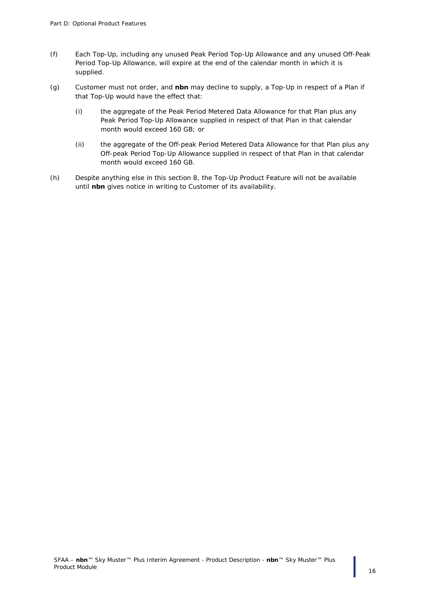- (f) Each Top-Up, including any unused Peak Period Top-Up Allowance and any unused Off-Peak Period Top-Up Allowance, will expire at the end of the calendar month in which it is supplied.
- (g) Customer must not order, and **nbn** may decline to supply, a Top-Up in respect of a Plan if that Top-Up would have the effect that:
	- (i) the aggregate of the Peak Period Metered Data Allowance for that Plan plus any Peak Period Top-Up Allowance supplied in respect of that Plan in that calendar month would exceed 160 GB; or
	- (ii) the aggregate of the Off-peak Period Metered Data Allowance for that Plan plus any Off-peak Period Top-Up Allowance supplied in respect of that Plan in that calendar month would exceed 160 GB.
- (h) Despite anything else in this section [8,](#page-14-0) the Top-Up Product Feature will not be available until **nbn** gives notice in writing to Customer of its availability.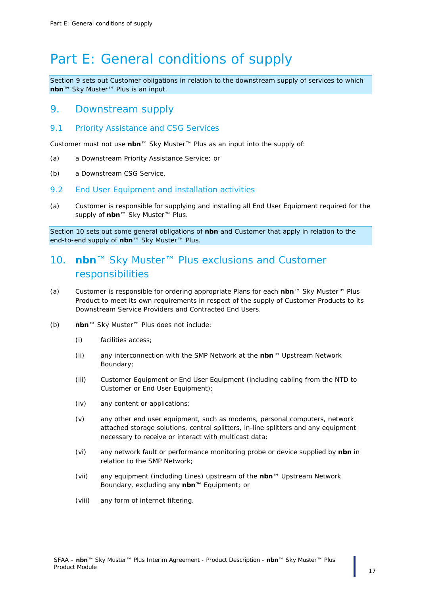## <span id="page-16-0"></span>Part E: General conditions of supply

*Section [9](#page-16-1) sets out Customer obligations in relation to the downstream supply of services to which nbn™ Sky Muster™ Plus is an input.*

#### <span id="page-16-1"></span>9. Downstream supply

9.1 Priority Assistance and CSG Services

Customer must not use **nbn**™ Sky Muster™ Plus as an input into the supply of:

- (a) a Downstream Priority Assistance Service; or
- (b) a Downstream CSG Service.

#### 9.2 End User Equipment and installation activities

(a) Customer is responsible for supplying and installing all End User Equipment required for the supply of **nbn**™ Sky Muster™ Plus.

*Section [10](#page-16-2) sets out some general obligations of nbn and Customer that apply in relation to the end-to-end supply of nbn™ Sky Muster™ Plus.*

## <span id="page-16-2"></span>10. **nbn**™ Sky Muster™ Plus exclusions and Customer responsibilities

- (a) Customer is responsible for ordering appropriate Plans for each **nbn**™ Sky Muster™ Plus Product to meet its own requirements in respect of the supply of Customer Products to its Downstream Service Providers and Contracted End Users.
- (b) **nbn**™ Sky Muster™ Plus does not include:
	- (i) facilities access;
	- (ii) any interconnection with the SMP Network at the **nbn**™ Upstream Network Boundary;
	- (iii) Customer Equipment or End User Equipment (including cabling from the NTD to Customer or End User Equipment);
	- (iv) any content or applications;
	- (v) any other end user equipment, such as modems, personal computers, network attached storage solutions, central splitters, in-line splitters and any equipment necessary to receive or interact with multicast data;
	- (vi) any network fault or performance monitoring probe or device supplied by **nbn** in relation to the SMP Network;
	- (vii) any equipment (including Lines) upstream of the **nbn**™ Upstream Network Boundary, excluding any **nbn™** Equipment; or
	- (viii) any form of internet filtering.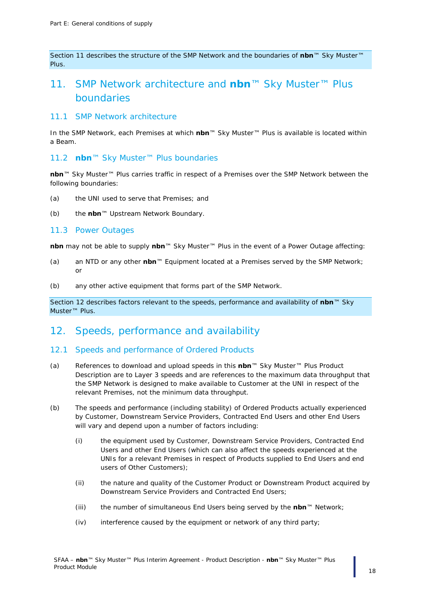*Section* [11](#page-17-0) *describes the structure of the SMP Network and the boundaries of nbn<sup>™</sup> Sky Muster™ Plus.*

## <span id="page-17-0"></span>11. SMP Network architecture and **nbn**™ Sky Muster™ Plus boundaries

#### 11.1 SMP Network architecture

In the SMP Network, each Premises at which **nbn**™ Sky Muster™ Plus is available is located within a Beam.

#### 11.2 **nbn**™ Sky Muster™ Plus boundaries

**nbn**™ Sky Muster™ Plus carries traffic in respect of a Premises over the SMP Network between the following boundaries:

- (a) the UNI used to serve that Premises; and
- (b) the **nbn**™ Upstream Network Boundary.

#### 11.3 Power Outages

**nbn** may not be able to supply **nbn**™ Sky Muster™ Plus in the event of a Power Outage affecting:

- (a) an NTD or any other **nbn**™ Equipment located at a Premises served by the SMP Network; or
- (b) any other active equipment that forms part of the SMP Network.

*Section* [12](#page-17-1) *describes factors relevant to the speeds, performance and availability of nbn™ Sky Muster™ Plus.*

### <span id="page-17-1"></span>12. Speeds, performance and availability

#### 12.1 Speeds and performance of Ordered Products

- (a) References to download and upload speeds in this **nbn**™ Sky Muster™ Plus Product Description are to Layer 3 speeds and are references to the maximum data throughput that the SMP Network is designed to make available to Customer at the UNI in respect of the relevant Premises, not the minimum data throughput.
- (b) The speeds and performance (including stability) of Ordered Products actually experienced by Customer, Downstream Service Providers, Contracted End Users and other End Users will vary and depend upon a number of factors including:
	- (i) the equipment used by Customer, Downstream Service Providers, Contracted End Users and other End Users (which can also affect the speeds experienced at the UNIs for a relevant Premises in respect of Products supplied to End Users and end users of Other Customers);
	- (ii) the nature and quality of the Customer Product or Downstream Product acquired by Downstream Service Providers and Contracted End Users;
	- (iii) the number of simultaneous End Users being served by the **nbn**™ Network;
	- (iv) interference caused by the equipment or network of any third party;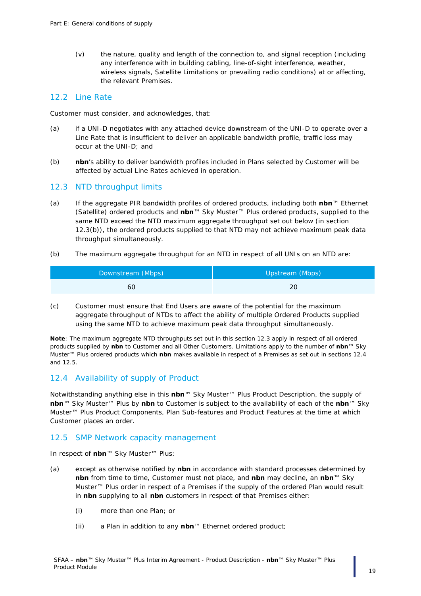(v) the nature, quality and length of the connection to, and signal reception (including any interference with in building cabling, line-of-sight interference, weather, wireless signals, Satellite Limitations or prevailing radio conditions) at or affecting, the relevant Premises.

#### 12.2 Line Rate

Customer must consider, and acknowledges, that:

- (a) if a UNI-D negotiates with any attached device downstream of the UNI-D to operate over a Line Rate that is insufficient to deliver an applicable bandwidth profile, traffic loss may occur at the UNI-D; and
- (b) **nbn**'s ability to deliver bandwidth profiles included in Plans selected by Customer will be affected by actual Line Rates achieved in operation.

#### <span id="page-18-0"></span>12.3 NTD throughput limits

- (a) If the aggregate PIR bandwidth profiles of ordered products, including both **nbn**™ Ethernet (Satellite) ordered products and **nbn**™ Sky Muster™ Plus ordered products, supplied to the same NTD exceed the NTD maximum aggregate throughput set out below (in section [12.3](#page-18-0)[\(b\)\)](#page-18-1), the ordered products supplied to that NTD may not achieve maximum peak data throughput simultaneously.
- <span id="page-18-1"></span>(b) The maximum aggregate throughput for an NTD in respect of all UNIs on an NTD are:

| Downstream (Mbps) | Upstream (Mbps) |
|-------------------|-----------------|
| 60                |                 |

(c) Customer must ensure that End Users are aware of the potential for the maximum aggregate throughput of NTDs to affect the ability of multiple Ordered Products supplied using the same NTD to achieve maximum peak data throughput simultaneously.

*Note: The maximum aggregate NTD throughputs set out in this sectio[n 12.3](#page-18-0) apply in respect of all ordered products supplied by nbn to Customer and all Other Customers. Limitations apply to the number of nbn™ Sky Muster™ Plus ordered products which nbn makes available in respect of a Premises as set out in sections [12.4](#page-18-2) and [12.5.](#page-18-3)*

#### <span id="page-18-2"></span>12.4 Availability of supply of Product

Notwithstanding anything else in this **nbn**™ Sky Muster™ Plus Product Description, the supply of **nbn**™ Sky Muster™ Plus by **nbn** to Customer is subject to the availability of each of the **nbn**™ Sky Muster™ Plus Product Components, Plan Sub-features and Product Features at the time at which Customer places an order.

#### <span id="page-18-3"></span>12.5 SMP Network capacity management

In respect of **nbn**™ Sky Muster™ Plus:

- (a) except as otherwise notified by **nbn** in accordance with standard processes determined by **nbn** from time to time, Customer must not place, and **nbn** may decline, an **nbn**™ Sky Muster™ Plus order in respect of a Premises if the supply of the ordered Plan would result in **nbn** supplying to all **nbn** customers in respect of that Premises either:
	- (i) more than one Plan; or
	- (ii) a Plan in addition to any **nbn**™ Ethernet ordered product;